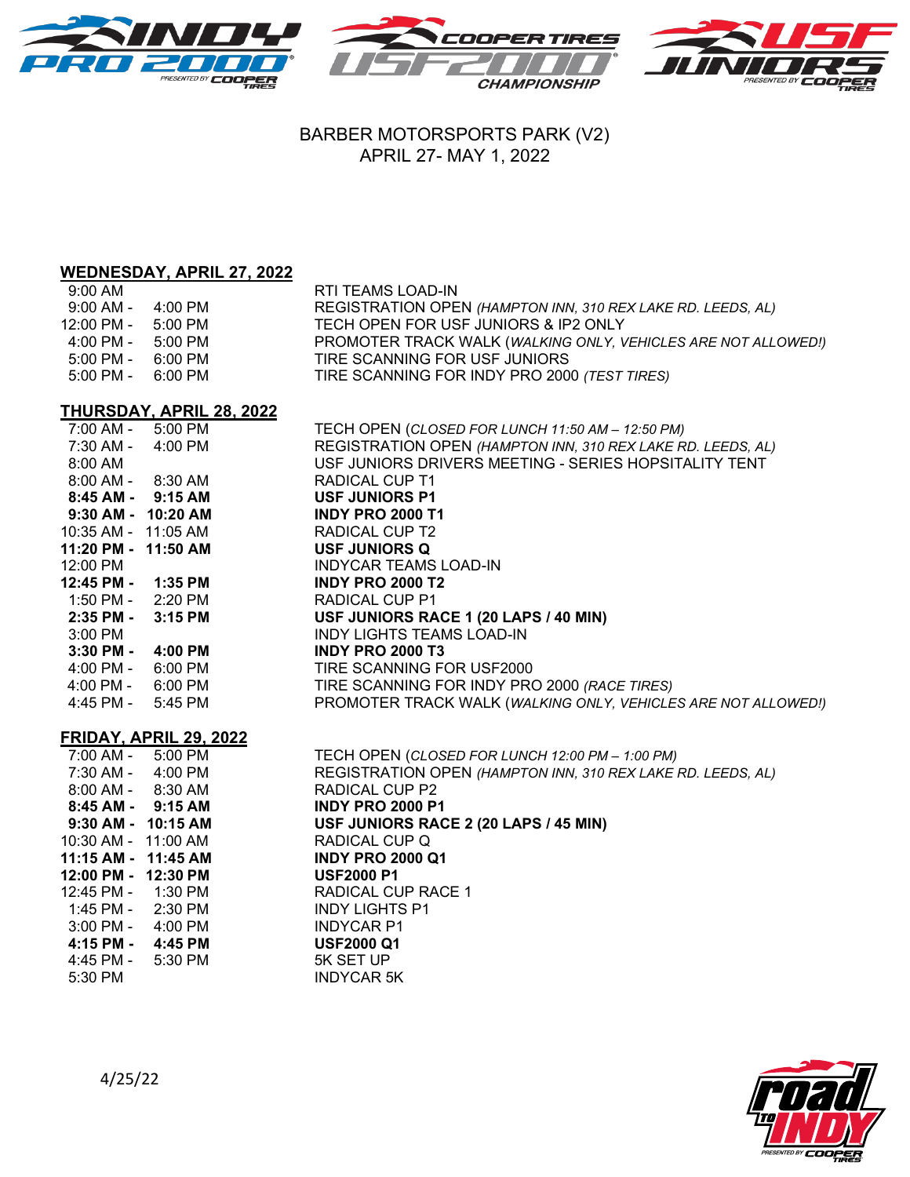

## BARBER MOTORSPORTS PARK (V2) APRIL 27- MAY 1, 2022

# **WEDNESDAY, APRIL 27, 2022**

| $9:00 \text{ AM}$                   |         | RTI TEAMS LOAD-IN                                             |
|-------------------------------------|---------|---------------------------------------------------------------|
| 9:00 AM -                           | 4:00 PM | REGISTRATION OPEN (HAMPTON INN, 310 REX LAKE RD. LEEDS, AL)   |
| 12:00 PM -                          | 5:00 PM | TECH OPEN FOR USF JUNIORS & IP2 ONLY                          |
| 4:00 PM -                           | 5:00 PM | PROMOTER TRACK WALK (WALKING ONLY, VEHICLES ARE NOT ALLOWED!) |
| 5:00 PM -                           | 6:00 PM | TIRE SCANNING FOR USF JUNIORS                                 |
| $5:00 \text{ PM} - 6:00 \text{ PM}$ |         | TIRE SCANNING FOR INDY PRO 2000 (TEST TIRES)                  |

### **THURSDAY, APRIL 28, 2022**

| 7:00 AM -<br>5:00 PM                | TECH OPEN (CLOSED FOR LUNCH 11:50 AM - 12:50 PM)              |
|-------------------------------------|---------------------------------------------------------------|
| 7:30 AM - 4:00 PM                   | REGISTRATION OPEN (HAMPTON INN, 310 REX LAKE RD. LEEDS, AL)   |
| 8:00 AM                             | USF JUNIORS DRIVERS MEETING - SERIES HOPSITALITY TENT         |
| 8:00 AM - 8:30 AM                   | <b>RADICAL CUP T1</b>                                         |
| $8:45$ AM - $9:15$ AM               | <b>USF JUNIORS P1</b>                                         |
| 9:30 AM - 10:20 AM                  | <b>INDY PRO 2000 T1</b>                                       |
| 10:35 AM - 11:05 AM                 | RADICAL CUP T2                                                |
| 11:20 PM - 11:50 AM                 | <b>USF JUNIORS Q</b>                                          |
| 12:00 PM                            | <b>INDYCAR TEAMS LOAD-IN</b>                                  |
| 12:45 PM - 1:35 PM                  | <b>INDY PRO 2000 T2</b>                                       |
| 1:50 PM - 2:20 PM                   | RADICAL CUP P1                                                |
| 2:35 PM -<br>$3:15$ PM              | USF JUNIORS RACE 1 (20 LAPS / 40 MIN)                         |
| 3:00 PM                             | <b>INDY LIGHTS TEAMS LOAD-IN</b>                              |
| 3:30 PM - 4:00 PM                   | <b>INDY PRO 2000 T3</b>                                       |
| 4:00 PM - 6:00 PM                   | TIRE SCANNING FOR USF2000                                     |
| $4:00 \text{ PM} - 6:00 \text{ PM}$ | TIRE SCANNING FOR INDY PRO 2000 (RACE TIRES)                  |
| $4:45$ PM - $5:45$ PM               | PROMOTER TRACK WALK (WALKING ONLY, VEHICLES ARE NOT ALLOWED!) |
|                                     |                                                               |
| FRIDAY, APRIL 29, 2022              |                                                               |
| 7:00 AM - 5:00 PM                   | TECH OPEN (CLOSED FOR LUNCH 12:00 PM - 1:00 PM)               |
| 7:30 AM - 4:00 PM                   | REGISTRATION OPEN (HAMPTON INN, 310 REX LAKE RD. LEEDS, AL)   |
| 8:00 AM - 8:30 AM                   | <b>RADICAL CUP P2</b>                                         |
| 8:45 AM - 9:15 AM                   | <b>INDY PRO 2000 P1</b>                                       |
| 9:30 AM - 10:15 AM                  | USF JUNIORS RACE 2 (20 LAPS / 45 MIN)                         |
| 10:30 AM - 11:00 AM                 | RADICAL CUP Q                                                 |
| 11:15 AM - 11:45 AM                 | <b>INDY PRO 2000 Q1</b>                                       |
| 12:00 PM - 12:30 PM                 | <b>USF2000 P1</b>                                             |
| 12:45 PM - 1:30 PM                  | <b>RADICAL CUP RACE 1</b>                                     |
| 1:45 PM - 2:30 PM                   | <b>INDY LIGHTS P1</b>                                         |
| 3:00 PM - 4:00 PM                   | <b>INDYCAR P1</b>                                             |
| 4:15 PM - 4:45 PM                   | <b>USF2000 Q1</b>                                             |
| 4:45 PM -<br>5:30 PM                | 5K SET UP                                                     |
| $5:30$ PM                           | <b>INDYCAR 5K</b>                                             |